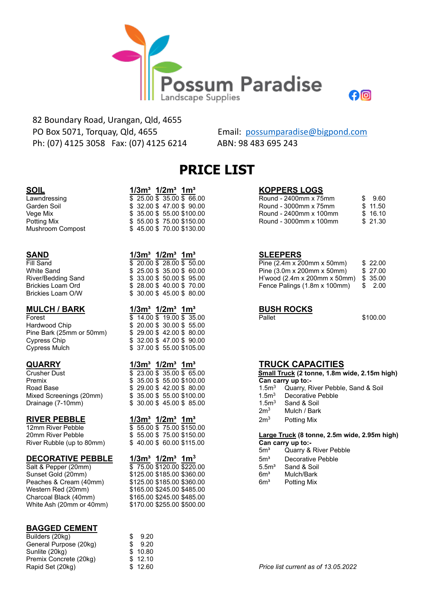

 82 Boundary Road, Urangan, Qld, 4655 PO Box 5071, Torquay, Qld, 4655 Email: [possumparadise@bigpond.com](about:blank) Ph: (07) 4125 3058 Fax: (07) 4125 6214 ABN: 98 483 695 243

# **PRICE LIST**

 $River/Bedding$  Sand Brickies Loam Ord Brickies Loam O/W

Hardwood Chip  $$ 20.00 $ 30.00 $ 55.00$ Pine Bark (25mm or 50mm) \$ 29.00 \$ 42.00 \$ 80.00 Cypress Chip  $$32.00 $47.00 $90.00$ Cypress Mulch \$ 37.00 \$ 55.00 \$105.00

Premix  $$ 35.00 $ 55.00 $100.00$ Road Base  $$ 29.00 $ 42.00 $ 80.00$ <br>Mixed Screenings (20mm)  $$ 35.00 $ 55.00 $100.00$ Mixed Screenings (20mm)<br> Drainage (7-10mm)

# **RIVER PEBBLE**<br>12mm River Pebble

12mm River Pebble  $20$ mm River Pebble River Rubble (up to 80mm) \$ 40.00 \$ 60.00 \$115.00 **Can carry up to:-**

# **DECORATIVE PEBBLE 1/3m³ 1/2m³ 1m<sup>3</sup>**

Sunset Gold (20mm)  $$125.00 $185.00 $360.00$  6m<sup>3</sup> Mulch/Bark<br>Peaches & Cream (40mm) \$125.00 \$185.00 \$360.00 6m<sup>3</sup> Potting Mix Peaches & Cream (40mm) \$125.00 \$185.00 \$360.00 6m<sup>3</sup> Potting Mix Western Red (20mm) \$165.00 \$245.00 \$485.00 Charcoal Black (40mm) \$165.00 \$245.00 \$485.00 White Ash (20mm or 40mm) \$170.00 \$255.00 \$500.00

## **BAGGED CEMENT**

| Builders (20kg)        |     | 9.20    |
|------------------------|-----|---------|
| General Purpose (20kg) | -SG | 9.20    |
| Sunlite (20kg)         |     | \$10.80 |
| Premix Concrete (20kg) |     | \$12.10 |
| Rapid Set (20kg)       |     | \$12.60 |
|                        |     |         |

| <b>SOIL</b>             | $1/3m^3$ $1/2m^3$ 1m <sup>3</sup> | <b>KOPPERS LOGS</b> |
|-------------------------|-----------------------------------|---------------------|
| Lawndressing            | \$25.00 \$35.00 \$6.00            | Round - 2400mm x 75 |
| Garden Soil             | \$32.00\$47.00\$90.00             | Round - 3000mm x 75 |
| Vege Mix                | \$ 35.00 \$ 55.00 \$100.00        | Round - 2400mm x 10 |
| Potting Mix             | \$55.00 \$75.00 \$150.00          | Round - 3000mm x 10 |
| <b>Mushroom Compost</b> | \$45.00 \$70.00 \$130.00          |                     |

## **SAND 1/3m<sup>3</sup> <b>1/2m<sup>3</sup> <b>1m**<sup>3</sup> **1/2m**<sup>3</sup> **1m**<sup>3</sup> **SLEEPERS**

|  | 9 20.00 \$ 20.00 \$ 30.00 |  |
|--|---------------------------|--|
|  | \$25.00 \$35.00 \$60.00   |  |
|  | \$33.00 \$50.00 \$95.00   |  |
|  | \$28.00 \$40.00 \$70.00   |  |
|  | \$30.00 \$45.00 \$80.00   |  |
|  |                           |  |

| <b>MULCH / BARK</b>      | $1/3m^3$ $1/2m^3$ 1m <sup>3</sup>                                                                                                                                                                                                                                                                                 | <b>BUSH ROCKS</b> |          |
|--------------------------|-------------------------------------------------------------------------------------------------------------------------------------------------------------------------------------------------------------------------------------------------------------------------------------------------------------------|-------------------|----------|
| Forest                   | \$14.00 \$19.00 \$35.00                                                                                                                                                                                                                                                                                           | Pallet            | \$100.00 |
| Hardwood Chip            | \$20.00\$30.00\$55.00                                                                                                                                                                                                                                                                                             |                   |          |
| Pine Bark (25mm or 50mm) | \$29.00\$42.00\$80.00                                                                                                                                                                                                                                                                                             |                   |          |
|                          | $\ddot{ }$ $\ddot{ }$ $\ddot{ }$ $\ddot{ }$ $\ddot{ }$ $\ddot{ }$ $\ddot{ }$ $\ddot{ }$ $\ddot{ }$ $\ddot{ }$ $\ddot{ }$ $\ddot{ }$ $\ddot{ }$ $\ddot{ }$ $\ddot{ }$ $\ddot{ }$ $\ddot{ }$ $\ddot{ }$ $\ddot{ }$ $\ddot{ }$ $\ddot{ }$ $\ddot{ }$ $\ddot{ }$ $\ddot{ }$ $\ddot{ }$ $\ddot{ }$ $\ddot{ }$ $\ddot{$ |                   |          |

# **1/3m<sup>3</sup>**  $\frac{1}{3}$  $\frac{1}{2}$  $\frac{1}{3}$  $\frac{1}{2}$  $\frac{1}{3}$  $\frac{1}{2}$  **<b>1/2m<sup>3</sup>**  $\frac{1}{3}$  **1m<sup>3</sup> 11m**<sup>3</sup> **11m**<sup>3</sup> **11m**<sup>3</sup> **11m**<sup>3</sup> **11m1 11m1 11m 11m 11m 11m 11m 11m 11m 11m 11m 11m 11m 11m**  $\overline{$}$  23.00  $\overline{$}$  35.00  $\overline{$}$  65.00  $$30.00 $45.00 $85.00$

| 1/3 $\mathsf{m}^{\mathsf{3}}$ 1/2 $\mathsf{m}^{\mathsf{3}}$ 1 $\mathsf{m}^{\mathsf{3}}$ |  |                          |
|-----------------------------------------------------------------------------------------|--|--------------------------|
|                                                                                         |  | \$55.00 \$75.00 \$150.00 |
|                                                                                         |  | \$55.00 \$75.00 \$150.00 |
|                                                                                         |  | \$40.00\$60.00\$115.00   |

 $\overline{\$}$  75.00  $\overline{\$}$  120.00 \$220.00

| Lawndressing | \$25.00\$35.00\$66.00      | Round - 2400mm x 75mm  | \$ 9.60  |
|--------------|----------------------------|------------------------|----------|
| Garden Soil  | \$32.00 \$47.00 \$90.00    | Round - 3000mm x 75mm  | \$11.50  |
| Vege Mix     | \$ 35.00 \$ 55.00 \$100.00 | Round - 2400mm x 100mm | \$16.10  |
| Potting Mix  | \$55.00 \$75.00 \$150.00   | Round - 3000mm x 100mm | \$ 21.30 |

| Fill Sand          | \$20.00\$28.00\$50.00      | Pine $(2.4m \times 200mm \times 50mm)$      | \$ 22.00 |
|--------------------|----------------------------|---------------------------------------------|----------|
| White Sand         | \$25.00\$35.00\$60.00      | Pine $(3.0m \times 200m m \times 50m m)$    | \$27.00  |
| River/Bedding Sand | \$ 33.00 \$ 50.00 \$ 95.00 | H'wood (2.4m x 200mm x 50mm) $$35.00$       |          |
| Brickies Loam Ord  | \$ 28.00 \$ 40.00 \$ 70.00 | Fence Palings $(1.8m \times 100mm)$ \$ 2.00 |          |
|                    |                            |                                             |          |

பெ

|                                              | Small Truck (2 tonne, 1.8m wide, 2.15m high) |  |
|----------------------------------------------|----------------------------------------------|--|
|                                              | Can carry up to:-                            |  |
| 1.5 <sup>3</sup>                             | Quarry, River Pebble, Sand & Soil            |  |
| 1.5 <sup>3</sup>                             | Decorative Pehble                            |  |
| 1.5 <sup>3</sup>                             | Sand & Soil                                  |  |
| 2m <sup>3</sup>                              | Mulch / Bark                                 |  |
| 2m <sup>3</sup>                              | Potting Mix                                  |  |
|                                              |                                              |  |
| Large Truck (8 tonne, 2.5m wide, 2.95m high) |                                              |  |

- 5m<sup>3</sup> Quarry & River Pebble
- 5m<sup>3</sup> Decorative Pebble<br>5.5m<sup>3</sup> Sand & Soil
- 
- 
-